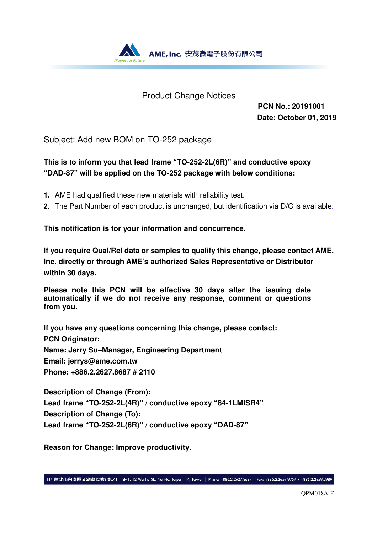

### Product Change Notices

**PCN No.: 20191001 Date: October 01, 2019**

Subject: Add new BOM on TO-252 package

### **This is to inform you that lead frame "TO-252-2L(6R)" and conductive epoxy "DAD-87" will be applied on the TO-252 package with below conditions:**

- **1.** AME had qualified these new materials with reliability test.
- **2.** The Part Number of each product is unchanged, but identification via D/C is available.

**This notification is for your information and concurrence.** 

**If you require Qual/Rel data or samples to qualify this change, please contact AME, Inc. directly or through AME's authorized Sales Representative or Distributor within 30 days.** 

**Please note this PCN will be effective 30 days after the issuing date automatically if we do not receive any response, comment or questions from you.** 

**If you have any questions concerning this change, please contact: PCN Originator: Name: Jerry Su–Manager, Engineering Department Email: jerrys@ame.com.tw Phone: +886.2.2627.8687 # 2110** 

**Description of Change (From): Lead frame "TO-252-2L(4R)" / conductive epoxy "84-1LMISR4" Description of Change (To): Lead frame "TO-252-2L(6R)" / conductive epoxy "DAD-87"** 

**Reason for Change: Improve productivity.**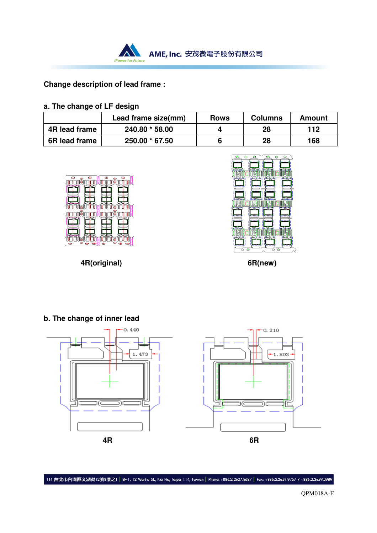

### **Change description of lead frame :**

#### **a. The change of LF design**

|               | Lead frame size(mm) | <b>Rows</b> | <b>Columns</b> | Amount |
|---------------|---------------------|-------------|----------------|--------|
| 4R lead frame | 240.80 * 58.00      |             | 28             | 112    |
| 6R lead frame | 250.00 * 67.50      |             | 28             | 168    |





 **4R(original) 6R(new)** 



114 台北市內湖區文湖街12號8樓之1 | 8F-1, 12 Wenhu St., Nei Hu, Taipei 114, Taiwan | Phone: +886.2.2627.8687 | Fax: +886.2.2659.9757 / +886.2.2659.2989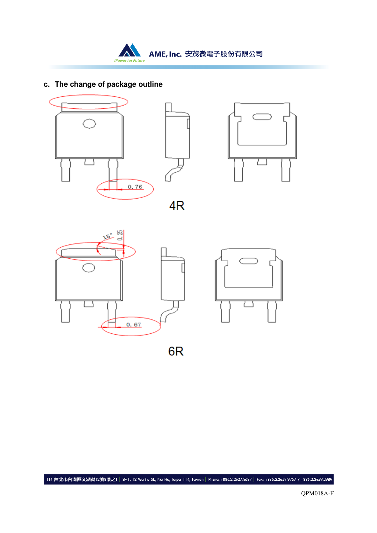AME, Inc. 安茂微電子股份有限公司 iPower for Future

### **c. The change of package outline**

**A** 





4R





6<sub>R</sub>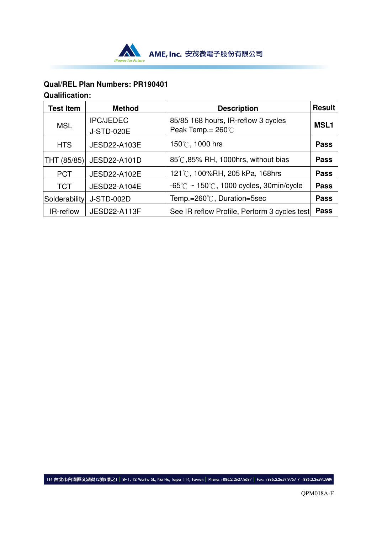

### **Qual/REL Plan Numbers: PR190401 Qualification:**

| <b>Test Item</b> | <b>Method</b>                         | <b>Description</b>                                                  | <b>Result</b> |
|------------------|---------------------------------------|---------------------------------------------------------------------|---------------|
| <b>MSL</b>       | <b>IPC/JEDEC</b><br><b>J-STD-020E</b> | 85/85 168 hours, IR-reflow 3 cycles<br>Peak Temp. = $260^{\circ}$ C | <b>MSL1</b>   |
| <b>HTS</b>       | <b>JESD22-A103E</b>                   | 150℃, 1000 hrs                                                      | <b>Pass</b>   |
| THT (85/85)      | JESD22-A101D                          | 85℃,85% RH, 1000hrs, without bias                                   | <b>Pass</b>   |
| <b>PCT</b>       | <b>JESD22-A102E</b>                   | 121℃, 100%RH, 205 kPa, 168hrs                                       | <b>Pass</b>   |
| <b>TCT</b>       | <b>JESD22-A104E</b>                   | $-65^{\circ}$ C ~ 150 $^{\circ}$ C, 1000 cycles, 30min/cycle        | <b>Pass</b>   |
| Solderability    | <b>J-STD-002D</b>                     | Temp.=260℃, Duration=5sec                                           | <b>Pass</b>   |
| IR-reflow        | <b>JESD22-A113F</b>                   | See IR reflow Profile, Perform 3 cycles test                        | <b>Pass</b>   |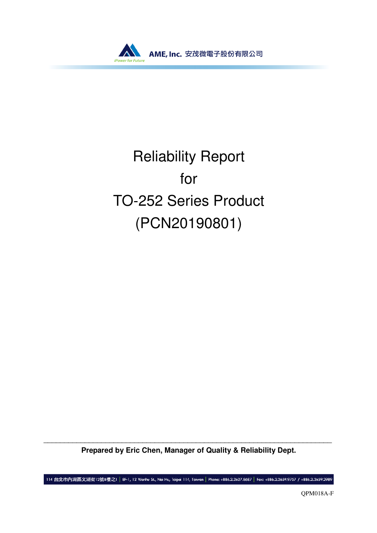

# Reliability Report for TO-252 Series Product (PCN20190801)

\_\_\_\_\_\_\_\_\_\_\_\_\_\_\_\_\_\_\_\_\_\_\_\_\_\_\_\_\_\_\_\_\_\_\_\_\_\_\_\_\_\_\_\_\_\_\_\_\_\_\_\_\_\_\_\_\_\_\_\_\_\_\_\_\_\_\_\_\_\_ **Prepared by Eric Chen, Manager of Quality & Reliability Dept.** 

114 台北市內湖區文湖街12號8樓之1 | 8F-1, 12 Wenhu St., Nei Hu, Taipei 114, Taiwan | Phone: +886.2.2627.8687 | Fax: +886.2.2659.9757 / +886.2.2659.2989

QPM018A-F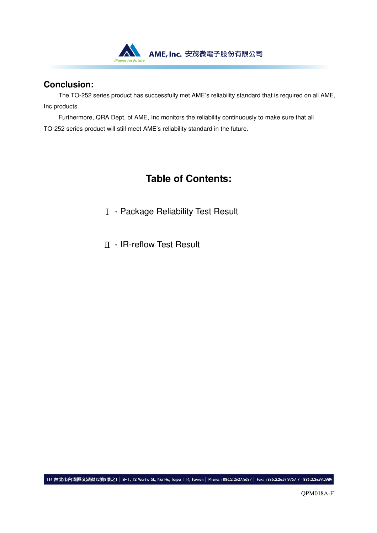

### **Conclusion:**

The TO-252 series product has successfully met AME's reliability standard that is required on all AME, Inc products.

Furthermore, QRA Dept. of AME, Inc monitors the reliability continuously to make sure that all TO-252 series product will still meet AME's reliability standard in the future.

# **Table of Contents:**

- Ⅰ、Package Reliability Test Result
- Ⅱ、IR-reflow Test Result

114 台北市內湖區文湖街12號8樓之1 | 8F-1, 12 Wenhu St., Nei Hu, Taipei 114, Taiwan | Phone: +886.2.2627.8687 | Fax: +886.2.2659.9757 / +886.2.2659.2989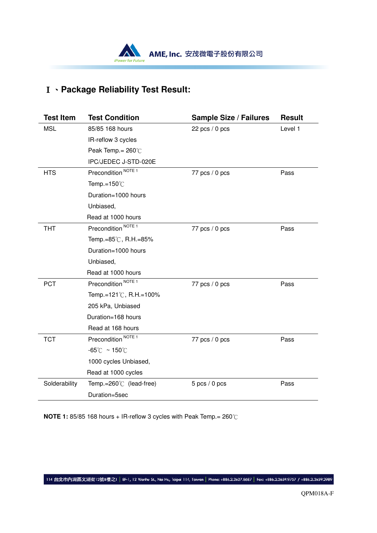

# Ⅰ、**Package Reliability Test Result:**

| <b>Test Item</b> | <b>Test Condition</b>              | <b>Sample Size / Failures</b> | <b>Result</b> |
|------------------|------------------------------------|-------------------------------|---------------|
| <b>MSL</b>       | 85/85 168 hours                    | 22 $pcs/0$ pcs                | Level 1       |
|                  | IR-reflow 3 cycles                 |                               |               |
|                  | Peak Temp. = $260^{\circ}$ C       |                               |               |
|                  | IPC/JEDEC J-STD-020E               |                               |               |
| <b>HTS</b>       | Precondition <sup>NOTE 1</sup>     | 77 $pcs/0$ pcs                | Pass          |
|                  | Temp.= $150^{\circ}$ C             |                               |               |
|                  | Duration=1000 hours                |                               |               |
|                  | Unbiased,                          |                               |               |
|                  | Read at 1000 hours                 |                               |               |
| <b>THT</b>       | Precondition <sup>NOTE 1</sup>     | 77 pcs $/ 0$ pcs              | Pass          |
|                  | Temp.=85℃, R.H.=85%                |                               |               |
|                  | Duration=1000 hours                |                               |               |
|                  | Unbiased,                          |                               |               |
|                  | Read at 1000 hours                 |                               |               |
| <b>PCT</b>       | Precondition <sup>NOTE 1</sup>     | 77 pcs $/ 0$ pcs              | Pass          |
|                  | Temp.=121℃, R.H.=100%              |                               |               |
|                  | 205 kPa, Unbiased                  |                               |               |
|                  | Duration=168 hours                 |                               |               |
|                  | Read at 168 hours                  |                               |               |
| <b>TCT</b>       | Precondition <sup>NOTE 1</sup>     | 77 pcs $/ 0$ pcs              | Pass          |
|                  | $-65^{\circ}$ C ~ 150 $^{\circ}$ C |                               |               |
|                  | 1000 cycles Unbiased,              |                               |               |
|                  | Read at 1000 cycles                |                               |               |
| Solderability    | Temp.= $260^{\circ}$ (lead-free)   | $5$ pcs $/ 0$ pcs             | Pass          |
|                  | Duration=5sec                      |                               |               |

**NOTE 1:** 85/85 168 hours + IR-reflow 3 cycles with Peak Temp.= 260℃

|114 台北市內湖區文湖街12號8樓之1 | 8F-1, 12 Wenhu St., Nei Hu, Taipei 114, Taiwan | Phone: +886.2.2627.8687 | Fac: +886.2.2659.9757 / +886.2.2659.2989